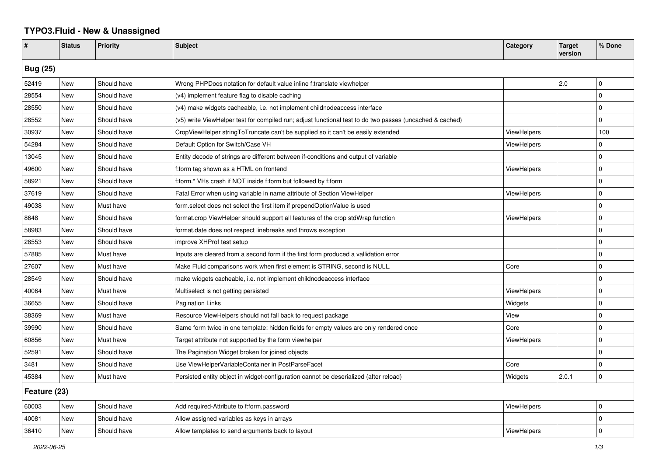## **TYPO3.Fluid - New & Unassigned**

| #               | <b>Status</b> | <b>Priority</b> | <b>Subject</b>                                                                                           | Category           | <b>Target</b><br>version | % Done      |  |  |
|-----------------|---------------|-----------------|----------------------------------------------------------------------------------------------------------|--------------------|--------------------------|-------------|--|--|
| <b>Bug (25)</b> |               |                 |                                                                                                          |                    |                          |             |  |  |
| 52419           | <b>New</b>    | Should have     | Wrong PHPDocs notation for default value inline f:translate viewhelper                                   |                    | 2.0                      | l 0         |  |  |
| 28554           | <b>New</b>    | Should have     | (v4) implement feature flag to disable caching                                                           |                    |                          | $\mathbf 0$ |  |  |
| 28550           | New           | Should have     | (v4) make widgets cacheable, i.e. not implement childnodeaccess interface                                |                    |                          | $\mathbf 0$ |  |  |
| 28552           | New           | Should have     | (v5) write ViewHelper test for compiled run; adjust functional test to do two passes (uncached & cached) |                    |                          | $\Omega$    |  |  |
| 30937           | New           | Should have     | CropViewHelper stringToTruncate can't be supplied so it can't be easily extended                         | <b>ViewHelpers</b> |                          | 100         |  |  |
| 54284           | New           | Should have     | Default Option for Switch/Case VH                                                                        | ViewHelpers        |                          | $\Omega$    |  |  |
| 13045           | New           | Should have     | Entity decode of strings are different between if-conditions and output of variable                      |                    |                          | $\mathbf 0$ |  |  |
| 49600           | New           | Should have     | f:form tag shown as a HTML on frontend                                                                   | ViewHelpers        |                          | $\mathbf 0$ |  |  |
| 58921           | New           | Should have     | f:form.* VHs crash if NOT inside f:form but followed by f:form                                           |                    |                          | $\mathbf 0$ |  |  |
| 37619           | New           | Should have     | Fatal Error when using variable in name attribute of Section ViewHelper                                  | <b>ViewHelpers</b> |                          | $\mathbf 0$ |  |  |
| 49038           | New           | Must have       | form select does not select the first item if prependOptionValue is used                                 |                    |                          | $\mathbf 0$ |  |  |
| 8648            | <b>New</b>    | Should have     | format.crop ViewHelper should support all features of the crop stdWrap function                          | <b>ViewHelpers</b> |                          | $\mathbf 0$ |  |  |
| 58983           | <b>New</b>    | Should have     | format.date does not respect linebreaks and throws exception                                             |                    |                          | $\Omega$    |  |  |
| 28553           | New           | Should have     | improve XHProf test setup                                                                                |                    |                          | $\Omega$    |  |  |
| 57885           | New           | Must have       | Inputs are cleared from a second form if the first form produced a vallidation error                     |                    |                          | $\mathbf 0$ |  |  |
| 27607           | New           | Must have       | Make Fluid comparisons work when first element is STRING, second is NULL.                                | Core               |                          | $\Omega$    |  |  |
| 28549           | New           | Should have     | make widgets cacheable, i.e. not implement childnodeaccess interface                                     |                    |                          | $\Omega$    |  |  |
| 40064           | New           | Must have       | Multiselect is not getting persisted                                                                     | ViewHelpers        |                          | $\Omega$    |  |  |
| 36655           | New           | Should have     | <b>Pagination Links</b>                                                                                  | Widgets            |                          | $\mathbf 0$ |  |  |
| 38369           | New           | Must have       | Resource ViewHelpers should not fall back to request package                                             | View               |                          | $\mathbf 0$ |  |  |
| 39990           | New           | Should have     | Same form twice in one template: hidden fields for empty values are only rendered once                   | Core               |                          | $\mathbf 0$ |  |  |
| 60856           | New           | Must have       | Target attribute not supported by the form viewhelper                                                    | ViewHelpers        |                          | $\mathbf 0$ |  |  |
| 52591           | <b>New</b>    | Should have     | The Pagination Widget broken for joined objects                                                          |                    |                          | $\mathbf 0$ |  |  |
| 3481            | New           | Should have     | Use ViewHelperVariableContainer in PostParseFacet                                                        | Core               |                          | $\Omega$    |  |  |
| 45384           | New           | Must have       | Persisted entity object in widget-configuration cannot be deserialized (after reload)                    | Widgets            | 2.0.1                    | $\mathbf 0$ |  |  |
| Feature (23)    |               |                 |                                                                                                          |                    |                          |             |  |  |
| 60003           | New           | Should have     | Add required-Attribute to f:form.password                                                                | <b>ViewHelpers</b> |                          | $\mathbf 0$ |  |  |
| 40081           | New           | Should have     | Allow assigned variables as keys in arrays                                                               |                    |                          | 0           |  |  |
| 36410           | New           | Should have     | Allow templates to send arguments back to layout                                                         | ViewHelpers        |                          | $\Omega$    |  |  |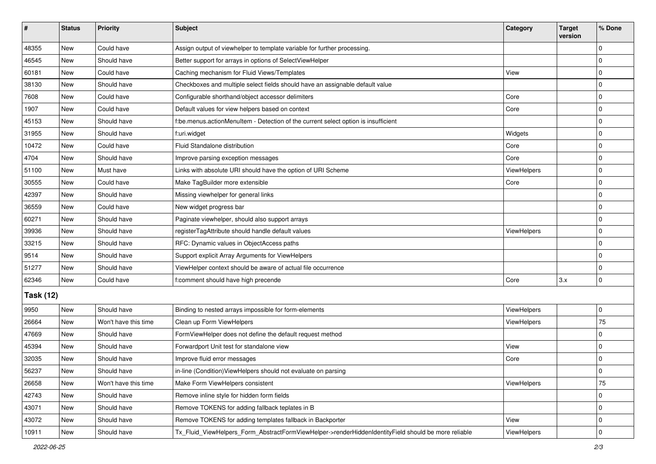| #                | <b>Status</b> | Priority             | <b>Subject</b>                                                                                      | Category    | <b>Target</b><br>version | % Done      |  |  |
|------------------|---------------|----------------------|-----------------------------------------------------------------------------------------------------|-------------|--------------------------|-------------|--|--|
| 48355            | New           | Could have           | Assign output of viewhelper to template variable for further processing.                            |             |                          | $\Omega$    |  |  |
| 46545            | <b>New</b>    | Should have          | Better support for arrays in options of SelectViewHelper                                            |             |                          | 0           |  |  |
| 60181            | New           | Could have           | Caching mechanism for Fluid Views/Templates                                                         | View        |                          | $\Omega$    |  |  |
| 38130            | <b>New</b>    | Should have          | Checkboxes and multiple select fields should have an assignable default value                       |             |                          | 0           |  |  |
| 7608             | New           | Could have           | Configurable shorthand/object accessor delimiters                                                   | Core        |                          | 0           |  |  |
| 1907             | New           | Could have           | Default values for view helpers based on context                                                    | Core        |                          | $\Omega$    |  |  |
| 45153            | <b>New</b>    | Should have          | f:be.menus.actionMenuItem - Detection of the current select option is insufficient                  |             |                          | 0           |  |  |
| 31955            | New           | Should have          | f:uri.widget                                                                                        | Widgets     |                          | 0           |  |  |
| 10472            | New           | Could have           | Fluid Standalone distribution                                                                       | Core        |                          | $\Omega$    |  |  |
| 4704             | New           | Should have          | Improve parsing exception messages                                                                  | Core        |                          | 0           |  |  |
| 51100            | New           | Must have            | Links with absolute URI should have the option of URI Scheme                                        | ViewHelpers |                          | $\Omega$    |  |  |
| 30555            | <b>New</b>    | Could have           | Make TagBuilder more extensible                                                                     | Core        |                          | $\mathbf 0$ |  |  |
| 42397            | New           | Should have          | Missing viewhelper for general links                                                                |             |                          | $\Omega$    |  |  |
| 36559            | New           | Could have           | New widget progress bar                                                                             |             |                          | $\Omega$    |  |  |
| 60271            | <b>New</b>    | Should have          | Paginate viewhelper, should also support arrays                                                     |             |                          | 0           |  |  |
| 39936            | New           | Should have          | registerTagAttribute should handle default values                                                   | ViewHelpers |                          | $\Omega$    |  |  |
| 33215            | <b>New</b>    | Should have          | RFC: Dynamic values in ObjectAccess paths                                                           |             |                          | 0           |  |  |
| 9514             | New           | Should have          | Support explicit Array Arguments for ViewHelpers                                                    |             |                          | $\Omega$    |  |  |
| 51277            | New           | Should have          | ViewHelper context should be aware of actual file occurrence                                        |             |                          | $\Omega$    |  |  |
| 62346            | <b>New</b>    | Could have           | f:comment should have high precende                                                                 | Core        | 3.x                      | $\mathbf 0$ |  |  |
| <b>Task (12)</b> |               |                      |                                                                                                     |             |                          |             |  |  |
| 9950             | <b>New</b>    | Should have          | Binding to nested arrays impossible for form-elements                                               | ViewHelpers |                          | 0           |  |  |
| 26664            | <b>New</b>    | Won't have this time | Clean up Form ViewHelpers                                                                           | ViewHelpers |                          | 75          |  |  |
| 47669            | New           | Should have          | FormViewHelper does not define the default request method                                           |             |                          | $\Omega$    |  |  |
| 45394            | <b>New</b>    | Should have          | Forwardport Unit test for standalone view                                                           | View        |                          | $\mathbf 0$ |  |  |
| 32035            | New           | Should have          | Improve fluid error messages                                                                        | Core        |                          | 0           |  |  |
| 56237            | New           | Should have          | in-line (Condition)ViewHelpers should not evaluate on parsing                                       |             |                          | U           |  |  |
| 26658            | <b>New</b>    | Won't have this time | Make Form ViewHelpers consistent                                                                    | ViewHelpers |                          | 75          |  |  |
| 42743            | New           | Should have          | Remove inline style for hidden form fields                                                          |             |                          | 0           |  |  |
| 43071            | New           | Should have          | Remove TOKENS for adding fallback teplates in B                                                     |             |                          | $\mathbf 0$ |  |  |
| 43072            | New           | Should have          | Remove TOKENS for adding templates fallback in Backporter                                           | View        |                          | 0           |  |  |
| 10911            | New           | Should have          | Tx_Fluid_ViewHelpers_Form_AbstractFormViewHelper->renderHiddenIdentityField should be more reliable | ViewHelpers |                          | 0           |  |  |